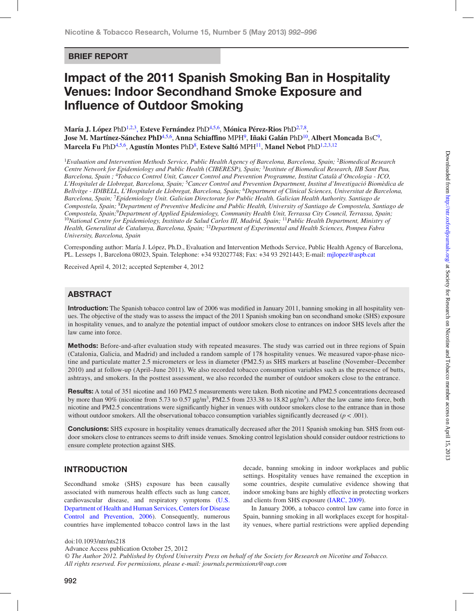# Brief Report

# Impact of the 2011 Spanish Smoking Ban in Hospitality Venues: Indoor Secondhand Smoke Exposure and Influence of Outdoor Smoking

**María J. López** PhD[1](#page-0-0),[2](#page-0-1),[3](#page-0-2), **Esteve Fernández** Ph[D4,](#page-0-3)[5](#page-0-4),[6](#page-0-5), **Mónica Pérez-Rios** PhD[2](#page-0-1),[7](#page-0-6),[8](#page-0-7), **Jose M. Martínez-Sánchez PhD**[4](#page-0-3)[,5,](#page-0-4)[6,](#page-0-5) **Anna Schiaffino** MP[H9,](#page-0-8) **Iñaki Galán** Ph[D10](#page-0-9), **Albert Moncada** BsC[9](#page-0-8), **Marcela Fu** Ph[D4,](#page-0-3)[5,](#page-0-4)[6](#page-0-5), **Agustín Montes** Ph[D8,](#page-0-7) **Esteve Saltó** MPH[11,](#page-0-10) **Manel Nebot** Ph[D1,](#page-0-0)[2,](#page-0-1)[3](#page-0-2),[12](#page-0-11)

<span id="page-0-6"></span><span id="page-0-5"></span><span id="page-0-4"></span><span id="page-0-3"></span><span id="page-0-2"></span><span id="page-0-1"></span><span id="page-0-0"></span><sup>1</sup>*Evaluation and Intervention Methods Service, Public Health Agency of Barcelona, Barcelona, Spain;* <sup>2</sup>*Biomedical Research Centre Network for Epidemiology and Public Health (CIBERESP), Spain;* <sup>3</sup>*Institute of Biomedical Research, IIB Sant Pau, Barcelona, Spain ;* <sup>4</sup>*Tobacco Control Unit, Cancer Control and Prevention Programme, Institut Català d'Oncologia - ICO, L'Hospitalet de Llobregat, Barcelona, Spain;* <sup>5</sup>*Cancer Control and Prevention Department, Institut d'Investigació Biomèdica de Bellvitge - IDIBELL, L'Hospitalet de Llobregat, Barcelona, Spain;* <sup>6</sup>*Department of Clinical Sciences, Universitat de Barcelona, Barcelona, Spain;* <sup>7</sup>*Epidemiology Unit. Galician Directorate for Public Health. Galician Health Authority. Santiago de Compostela, Spain;* <sup>8</sup>*Department of Preventive Medicine and Public Health, University of Santiago de Compostela, Santiago de Compostela, Spain;*9*Department of Applied Epidemiology, Community Health Unit, Terrassa City Council, Terrassa, Spain;* <sup>10</sup>*National Centre for Epidemiology, Instituto de Salud Carlos III, Madrid, Spain;* <sup>11</sup>*Public Health Department, Ministry of Health, Generalitat de Catalunya, Barcelona, Spain;* <sup>12</sup>*Department of Experimental and Health Sciences, Pompeu Fabra University, Barcelona, Spain*

<span id="page-0-11"></span><span id="page-0-10"></span><span id="page-0-9"></span><span id="page-0-8"></span><span id="page-0-7"></span>Corresponding author: María J. López, Ph.D., Evaluation and Intervention Methods Service, Public Health Agency of Barcelona, PL. Lesseps 1, Barcelona 08023, Spain. Telephone: +34 932027748; Fax: +34 93 2921443; E-mail: [mjlopez@aspb.cat](mailto:mjlopez@aspb.cat)

Received April 4, 2012; accepted September 4, 2012

# **ABSTRACT**

Introduction: The Spanish tobacco control law of 2006 was modified in January 2011, banning smoking in all hospitality venues. The objective of the study was to assess the impact of the 2011 Spanish smoking ban on secondhand smoke (SHS) exposure in hospitality venues, and to analyze the potential impact of outdoor smokers close to entrances on indoor SHS levels after the law came into force.

Methods: Before-and-after evaluation study with repeated measures. The study was carried out in three regions of Spain (Catalonia, Galicia, and Madrid) and included a random sample of 178 hospitality venues. We measured vapor-phase nicotine and particulate matter 2.5 micrometers or less in diameter (PM2.5) as SHS markers at baseline (November–December 2010) and at follow-up (April–June 2011). We also recorded tobacco consumption variables such as the presence of butts, ashtrays, and smokers. In the posttest assessment, we also recorded the number of outdoor smokers close to the entrance.

Results: A total of 351 nicotine and 160 PM2.5 measurements were taken. Both nicotine and PM2.5 concentrations decreased by more than 90% (nicotine from 5.73 to 0.57  $\mu$ g/m<sup>3</sup>, PM2.5 from 233.38 to 18.82  $\mu$ g/m<sup>3</sup>). After the law came into force, both nicotine and PM2.5 concentrations were significantly higher in venues with outdoor smokers close to the entrance than in those without outdoor smokers. All the observational tobacco consumption variables significantly decreased ( $p < .001$ ).

**Conclusions:** SHS exposure in hospitality venues dramatically decreased after the 2011 Spanish smoking ban. SHS from outdoor smokers close to entrances seems to drift inside venues. Smoking control legislation should consider outdoor restrictions to ensure complete protection against SHS.

## **INTRODUCTION**

Secondhand smoke (SHS) exposure has been causally associated with numerous health effects such as lung cancer, cardiovascular disease, and respiratory symptoms [\(U.S.](#page-4-0) [Department of Health and Human Services, Centers for Disease](#page-4-0) [Control and Prevention, 2006\)](#page-4-0). Consequently, numerous countries have implemented tobacco control laws in the last decade, banning smoking in indoor workplaces and public settings. Hospitality venues have remained the exception in some countries, despite cumulative evidence showing that indoor smoking bans are highly effective in protecting workers and clients from SHS exposure [\(IARC, 2009](#page-3-0)).

In January 2006, a tobacco control law came into force in Spain, banning smoking in all workplaces except for hospitality venues, where partial restrictions were applied depending

doi:10.1093/ntr/nts218

Advance Access publication October 25, 2012

*© The Author 2012. Published by Oxford University Press on behalf of the Society for Research on Nicotine and Tobacco. All rights reserved. For permissions, please e-mail: journals.permissions@oup.com*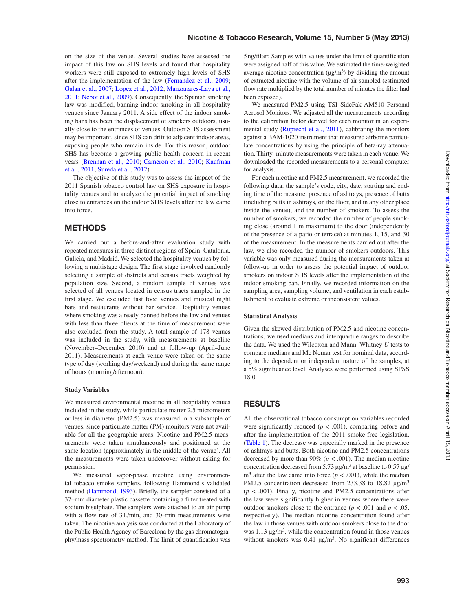on the size of the venue. Several studies have assessed the impact of this law on SHS levels and found that hospitality workers were still exposed to extremely high levels of SHS after the implementation of the law [\(Fernandez et al., 2009](#page-4-1); [Galan et al., 2007;](#page-3-1) [Lopez et al., 2012;](#page-3-2) [Manzanares-Laya et al.,](#page-3-3) [2011](#page-3-3); [Nebot et al., 2009](#page-3-3)). Consequently, the Spanish smoking law was modified, banning indoor smoking in all hospitality venues since January 2011. A side effect of the indoor smoking bans has been the displacement of smokers outdoors, usually close to the entrances of venues. Outdoor SHS assessment may be important, since SHS can drift to adjacent indoor areas, exposing people who remain inside. For this reason, outdoor SHS has become a growing public health concern in recent years [\(Brennan et al., 2010](#page-3-4); [Cameron et al., 2010;](#page-3-5) [Kaufman](#page-3-6) [et al., 2011;](#page-3-6) [Sureda et al., 2012\)](#page-4-1).

The objective of this study was to assess the impact of the 2011 Spanish tobacco control law on SHS exposure in hospitality venues and to analyze the potential impact of smoking close to entrances on the indoor SHS levels after the law came into force.

# **METHODS**

We carried out a before-and-after evaluation study with repeated measures in three distinct regions of Spain: Catalonia, Galicia, and Madrid. We selected the hospitality venues by following a multistage design. The first stage involved randomly selecting a sample of districts and census tracts weighted by population size. Second, a random sample of venues was selected of all venues located in census tracts sampled in the first stage. We excluded fast food venues and musical night bars and restaurants without bar service. Hospitality venues where smoking was already banned before the law and venues with less than three clients at the time of measurement were also excluded from the study. A total sample of 178 venues was included in the study, with measurements at baseline (November–December 2010) and at follow-up (April–June 2011). Measurements at each venue were taken on the same type of day (working day/weekend) and during the same range of hours (morning/afternoon).

#### **Study Variables**

We measured environmental nicotine in all hospitality venues included in the study, while particulate matter 2.5 micrometers or less in diameter (PM2.5) was measured in a subsample of venues, since particulate matter (PM) monitors were not available for all the geographic areas. Nicotine and PM2.5 measurements were taken simultaneously and positioned at the same location (approximately in the middle of the venue). All the measurements were taken undercover without asking for permission.

We measured vapor-phase nicotine using environmental tobacco smoke samplers, following Hammond's validated method [\(Hammond, 1993\)](#page-3-7). Briefly, the sampler consisted of a 37–mm diameter plastic cassette containing a filter treated with sodium bisulphate. The samplers were attached to an air pump with a flow rate of 3L/min, and 30–min measurements were taken. The nicotine analysis was conducted at the Laboratory of the Public Health Agency of Barcelona by the gas chromatography/mass spectrometry method. The limit of quantification was 5ng/filter. Samples with values under the limit of quantification were assigned half of this value. We estimated the time-weighted average nicotine concentration  $(\mu g/m^3)$  by dividing the amount of extracted nicotine with the volume of air sampled (estimated flow rate multiplied by the total number of minutes the filter had been exposed).

We measured PM2.5 using TSI SidePak AM510 Personal Aerosol Monitors. We adjusted all the measurements according to the calibration factor derived for each monitor in an experimental study (Ruprecht et al., 2011), calibrating the monitors against a BAM-1020 instrument that measured airborne particulate concentrations by using the principle of beta-ray attenuation. Thirty–minute measurements were taken in each venue. We downloaded the recorded measurements to a personal computer for analysis.

For each nicotine and PM2.5 measurement, we recorded the following data: the sample's code, city, date, starting and ending time of the measure, presence of ashtrays, presence of butts (including butts in ashtrays, on the floor, and in any other place inside the venue), and the number of smokers. To assess the number of smokers, we recorded the number of people smoking close (around 1 m maximum) to the door (independently of the presence of a patio or terrace) at minutes 1, 15, and 30 of the measurement. In the measurements carried out after the law, we also recorded the number of smokers outdoors. This variable was only measured during the measurements taken at follow-up in order to assess the potential impact of outdoor smokers on indoor SHS levels after the implementation of the indoor smoking ban. Finally, we recorded information on the sampling area, sampling volume, and ventilation in each establishment to evaluate extreme or inconsistent values.

#### **Statistical Analysis**

Given the skewed distribution of PM2.5 and nicotine concentrations, we used medians and interquartile ranges to describe the data. We used the Wilcoxon and Mann–Whitney *U* tests to compare medians and Mc Nemar test for nominal data, according to the dependent or independent nature of the samples, at a 5% significance level. Analyses were performed using SPSS 18.0.

## **RESULTS**

All the observational tobacco consumption variables recorded were significantly reduced  $(p < .001)$ , comparing before and after the implementation of the 2011 smoke-free legislation. ([Table 1\)](#page-2-0). The decrease was especially marked in the presence of ashtrays and butts. Both nicotine and PM2.5 concentrations decreased by more than 90% ( $p < .001$ ). The median nicotine concentration decreased from 5.73  $\mu$ g/m<sup>3</sup> at baseline to 0.57  $\mu$ g/  $m<sup>3</sup>$  after the law came into force ( $p < .001$ ), while the median PM2.5 concentration decreased from 233.38 to 18.82  $\mu$ g/m<sup>3</sup>  $(p < .001)$ . Finally, nicotine and PM2.5 concentrations after the law were significantly higher in venues where there were outdoor smokers close to the entrance ( $p < .001$  and  $p < .05$ , respectively). The median nicotine concentration found after the law in those venues with outdoor smokers close to the door was  $1.13 \mu g/m<sup>3</sup>$ , while the concentration found in those venues without smokers was  $0.41 \mu g/m<sup>3</sup>$ . No significant differences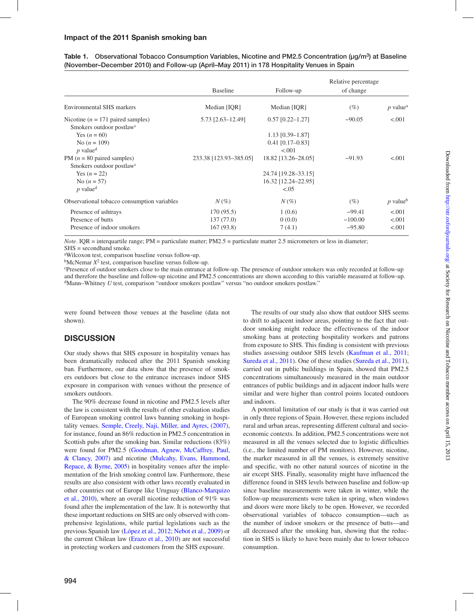# Impact of the 2011 Spanish smoking ban

<span id="page-2-0"></span>

| (November-December 2010) and Follow-up (April-May 2011) in 178 Hospitality Venues in Spain                                    |
|-------------------------------------------------------------------------------------------------------------------------------|
| Table 1. Observational Tobacco Consumption Variables, Nicotine and PM2.5 Concentration ( $\mu$ g/m <sup>3</sup> ) at Baseline |

|                                             | <b>Baseline</b>        | Follow-up           | Relative percentage<br>of change |                        |
|---------------------------------------------|------------------------|---------------------|----------------------------------|------------------------|
|                                             |                        |                     |                                  |                        |
| <b>Environmental SHS markers</b>            | Median [IQR]           | Median [IQR]        | (%)                              | $p$ value <sup>a</sup> |
| Nicotine ( $n = 171$ paired samples)        | 5.73 [2.63-12.49]      | $0.57$ [0.22-1.27]  | $-90.05$                         | < 0.001                |
| Smokers outdoor postlaw <sup>c</sup>        |                        |                     |                                  |                        |
| Yes $(n = 60)$                              |                        | $1.13$ [0.39–1.87]  |                                  |                        |
| No $(n = 109)$                              |                        | $0.41$ [0.17-0.83]  |                                  |                        |
| $p$ value <sup>d</sup>                      |                        | < 0.01              |                                  |                        |
| PM ( $n = 80$ paired samples)               | 233.38 [123.93-385.05] | 18.82 [13.26-28.05] | $-91.93$                         | < .001                 |
| Smokers outdoor postlaw <sup>c</sup>        |                        |                     |                                  |                        |
| Yes $(n = 22)$                              |                        | 24.74 [19.28-33.15] |                                  |                        |
| No $(n = 57)$                               |                        | 16.32 [12.24-22.95] |                                  |                        |
| $p$ value <sup>d</sup>                      |                        | < 0.05              |                                  |                        |
| Observational tobacco consumption variables | $N(\%)$                | $N(\%)$             | (%)                              | $p$ value <sup>b</sup> |
| Presence of ashtrays                        | 170(95.5)              | 1(0.6)              | $-99.41$                         | < .001                 |
| Presence of butts                           | 137(77.0)              | 0(0.0)              | $-100.00$                        | < 0.001                |
| Presence of indoor smokers                  | 167 (93.8)             | 7(4.1)              | $-95.80$                         | < .001                 |

*Note*. IQR = interquartile range; PM = particulate matter; PM2.5 = particulate matter 2.5 micrometers or less in diameter;  $SHS =$  secondhand smoke.

a Wilcoxon test, comparison baseline versus follow-up.

 $b$ McNemar  $X^2$  test, comparison baseline versus follow-up.

c Presence of outdoor smokers close to the main entrance at follow-up. The presence of outdoor smokers was only recorded at follow-up and therefore the baseline and follow-up nicotine and PM2.5 concentrations are shown according to this variable measured at follow-up. dMann–Whitney *U* test, comparison "outdoor smokers postlaw" versus "no outdoor smokers postlaw."

were found between those venues at the baseline (data not shown).

# **DISCUSSION**

Our study shows that SHS exposure in hospitality venues has been dramatically reduced after the 2011 Spanish smoking ban. Furthermore, our data show that the presence of smokers outdoors but close to the entrance increases indoor SHS exposure in comparison with venues without the presence of smokers outdoors.

The 90% decrease found in nicotine and PM2.5 levels after the law is consistent with the results of other evaluation studies of European smoking control laws banning smoking in hospitality venues. [Semple, Creely, Naji, Miller, and Ayres, \(2007\)](#page-4-2), for instance, found an 86% reduction in PM2.5 concentration in Scottish pubs after the smoking ban. Similar reductions (83%) were found for PM2.5 [\(Goodman, Agnew, McCaffrey, Paul,](#page-3-9) [& Clancy, 2007](#page-3-9)) and nicotine ([Mulcahy, Evans, Hammond,](#page-3-10) [Repace, & Byrne, 2005\)](#page-3-10) in hospitality venues after the implementation of the Irish smoking control law. Furthermore, these results are also consistent with other laws recently evaluated in other countries out of Europe like Uruguay [\(Blanco-Marquizo](#page-3-11) [et al., 2010](#page-3-11)), where an overall nicotine reduction of 91% was found after the implementation of the law. It is noteworthy that these important reductions on SHS are only observed with comprehensive legislations, while partial legislations such as the previous Spanish law [\(López et al., 2012;](#page-3-2) [Nebot et al., 2009\)](#page-3-12) or the current Chilean law ([Erazo et al., 2010](#page-3-13)) are not successful in protecting workers and customers from the SHS exposure.

The results of our study also show that outdoor SHS seems to drift to adjacent indoor areas, pointing to the fact that outdoor smoking might reduce the effectiveness of the indoor smoking bans at protecting hospitality workers and patrons from exposure to SHS. This finding is consistent with previous studies assessing outdoor SHS levels ([Kaufman et al., 2011;](#page-3-6) [Sureda et al., 2011](#page-4-1)). One of these studies ([Sureda et al., 2011](#page-4-1)), carried out in public buildings in Spain, showed that PM2.5 concentrations simultaneously measured in the main outdoor entrances of public buildings and in adjacent indoor halls were similar and were higher than control points located outdoors and indoors.

A potential limitation of our study is that it was carried out in only three regions of Spain. However, these regions included rural and urban areas, representing different cultural and socioeconomic contexts. In addition, PM2.5 concentrations were not measured in all the venues selected due to logistic difficulties (i.e., the limited number of PM monitors). However, nicotine, the marker measured in all the venues, is extremely sensitive and specific, with no other natural sources of nicotine in the air except SHS. Finally, seasonality might have influenced the difference found in SHS levels between baseline and follow-up since baseline measurements were taken in winter, while the follow-up measurements were taken in spring, when windows and doors were more likely to be open. However, we recorded observational variables of tobacco consumption—such as the number of indoor smokers or the presence of butts—and all decreased after the smoking ban, showing that the reduction in SHS is likely to have been mainly due to lower tobacco consumption.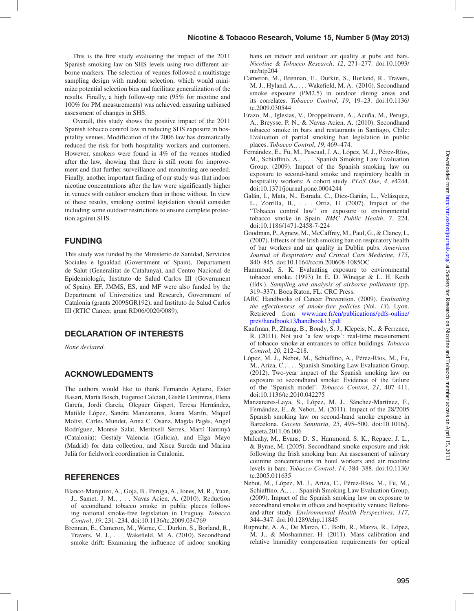# Nicotine & Tobacco Research, Volume 15, Number 5 (May 2013)

This is the first study evaluating the impact of the 2011 Spanish smoking law on SHS levels using two different airborne markers. The selection of venues followed a multistage sampling design with random selection, which would minimize potential selection bias and facilitate generalization of the results. Finally, a high follow-up rate (95% for nicotine and 100% for PM measurements) was achieved, ensuring unbiased assessment of changes in SHS.

Overall, this study shows the positive impact of the 2011 Spanish tobacco control law in reducing SHS exposure in hospitality venues. Modification of the 2006 law has dramatically reduced the risk for both hospitality workers and customers. However, smokers were found in 4% of the venues studied after the law, showing that there is still room for improvement and that further surveillance and monitoring are needed. Finally, another important finding of our study was that indoor nicotine concentrations after the law were significantly higher in venues with outdoor smokers than in those without. In view of these results, smoking control legislation should consider including some outdoor restrictions to ensure complete protection against SHS.

# **FUNDING**

This study was funded by the Ministerio de Sanidad, Servicios Sociales e Igualdad (Government of Spain), Departament de Salut (Generalitat de Catalunya), and Centro Nacional de Epidemiología, Instituto de Salud Carlos III (Government of Spain). EF, JMMS, ES, and MF were also funded by the Department of Universities and Research, Government of Catalonia (grants 2009SGR192), and Instituto de Salud Carlos III (RTIC Cancer, grant RD06/0020/0089).

# Declaration of Interests

*None declared*.

## **ACKNOWLEDGMENTS**

The authors would like to thank Fernando Agüero, Ester Basart, Marta Bosch, Eugenio Calciati, Gisèle Contreras, Elena García, Jordi García, Oleguer Gispert, Teresa Hernández, Matilde López, Sandra Manzanares, Joana Martín, Miquel Molist, Carles Mundet, Anna C. Osanz, Magda Pagès, Angel Rodríguez, Montse Salat, Meritxell Serres, Martí Tantinyà (Catalonia); Gestaly Valencia (Galicia), and Elga Mayo (Madrid) for data collection, and Xisca Sureda and Marina Julià for fieldwork coordination in Catalonia.

# **REFERENCES**

- <span id="page-3-11"></span>Blanco-Marquizo, A., Goja, B., Peruga, A., Jones, M. R., Yuan, J., Samet, J. M., . . . Navas Acien, A. (2010). Reduction of secondhand tobacco smoke in public places following national smoke-free legislation in Uruguay. *Tobacco Control*, *19*, 231–234. doi:10.1136/tc.2009.034769
- <span id="page-3-4"></span>Brennan, E., Cameron, M., Warne, C., Durkin, S., Borland, R., Travers, M. J., . . . Wakefield, M. A. (2010). Secondhand smoke drift: Examining the influence of indoor smoking

bans on indoor and outdoor air quality at pubs and bars. *Nicotine & Tobacco Research*, *12*, 271–277. doi:10.1093/ ntr/ntp204

- <span id="page-3-5"></span>Cameron, M., Brennan, E., Durkin, S., Borland, R., Travers, M. J., Hyland, A., . . . Wakefield, M. A. (2010). Secondhand smoke exposure (PM2.5) in outdoor dining areas and its correlates. *Tobacco Control*, *19*, 19–23. doi:10.1136/ tc.2009.030544
- <span id="page-3-13"></span>Erazo, M., Iglesias, V., Droppelmann, A., Acuña, M., Peruga, A., Breysse, P. N., & Navas-Acien, A. (2010). Secondhand tobacco smoke in bars and restaurants in Santiago, Chile: Evaluation of partial smoking ban legislation in public places. *Tobacco Control*, *19*, 469–474.
- Fernández, E., Fu, M., Pascual, J. A., López, M. J., Pérez-Ríos, M., Schiaffino, A., . . . Spanish Smoking Law Evaluation Group. (2009). Impact of the Spanish smoking law on exposure to second-hand smoke and respiratory health in hospitality workers: A cohort study. *PLoS One*, *4*, e4244. doi:10.1371/journal.pone.0004244
- <span id="page-3-1"></span>Galán, I., Mata, N., Estrada, C., Díez-Gañán, L., Velázquez, L., Zorrilla, B., . . . Ortiz, H. (2007). Impact of the "Tobacco control law" on exposure to environmental tobacco smoke in Spain. *BMC Public Health*, *7*, 224. doi:10.1186/1471-2458-7-224
- <span id="page-3-9"></span>Goodman, P., Agnew, M., McCaffrey, M., Paul, G., & Clancy, L. (2007). Effects of the Irish smoking ban on respiratory health of bar workers and air quality in Dublin pubs. *American Journal of Respiratory and Critical Care Medicine*, *175*, 840–845. doi:10.1164/rccm.200608-1085OC
- <span id="page-3-7"></span>Hammond, S. K. Evaluating exposure to environmental tobacco smoke. (1993) In E. D. Winegar & L. H. Keith (Eds.). *Sampling and analysis of airborne pollutants* (pp. 319–337). Boca Raton, FL: CRC Press.
- <span id="page-3-0"></span>IARC Handbooks of Cancer Prevention. (2009). *Evaluating the effectiveness of smoke-free policies* (Vol. *13*). Lyon. Retrieved from [www.iarc.fr/en/publications/pdfs-online/](http://www.iarc.fr/en/publications/pdfs-online/prev/handbook13/handbook13.pdf) [prev/handbook13/handbook13.pdf](http://www.iarc.fr/en/publications/pdfs-online/prev/handbook13/handbook13.pdf)
- <span id="page-3-6"></span>Kaufman, P., Zhang, B., Bondy, S. J., Klepeis, N., & Ferrence, R. (2011). Not just 'a few wisps': real-time measurement of tobacco smoke at entrances to office buildings. *Tobacco Control, 20,* 212–218.
- <span id="page-3-2"></span>López, M. J., Nebot, M., Schiaffino, A., Pérez-Ríos, M., Fu, M., Ariza, C., . . . Spanish Smoking Law Evaluation Group. (2012). Two-year impact of the Spanish smoking law on exposure to secondhand smoke: Evidence of the failure of the 'Spanish model'. *Tobacco Control*, *21*, 407–411. doi:10.1136/tc.2010.042275
- <span id="page-3-3"></span>Manzanares-Laya, S., López, M. J., Sánchez-Martínez, F., Fernández, E., & Nebot, M. (2011). Impact of the 28/2005 Spanish smoking law on second-hand smoke exposure in Barcelona. *Gaceta Sanitaria*, *25*, 495–500. doi:10.1016/j. gaceta.2011.06.006
- <span id="page-3-10"></span>Mulcahy, M., Evans, D. S., Hammond, S. K., Repace, J. L., & Byrne, M. (2005). Secondhand smoke exposure and risk following the Irish smoking ban: An assessment of salivary cotinine concentrations in hotel workers and air nicotine levels in bars. *Tobacco Control*, *14*, 384–388. doi:10.1136/ tc.2005.011635
- <span id="page-3-12"></span>Nebot, M., López, M. J., Ariza, C., Pérez-Ríos, M., Fu, M., Schiaffino, A., . . . Spanish Smoking Law Evaluation Group. (2009). Impact of the Spanish smoking law on exposure to secondhand smoke in offices and hospitality venues: Beforeand-after study. *Environmental Health Perspectives*, *117*, 344–347. doi:10.1289/ehp.11845
- <span id="page-3-8"></span>Ruprecht, A. A., De Marco, C., Boffi, R., Mazza, R., López, M. J., & Moshammer, H. (2011). Mass calibration and relative humidity compensation requirements for optical